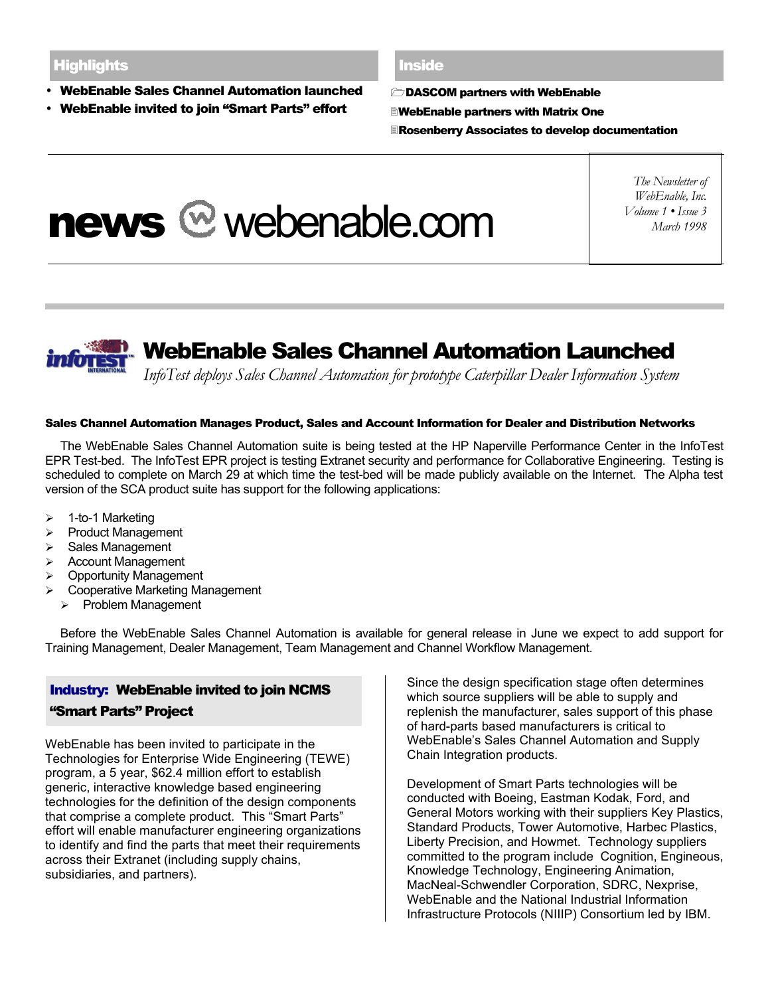- WebEnable Sales Channel Automation launched
- WebEnable invited to join "Smart Parts" effort

#### **Inside**

1DASCOM partners with WebEnable

- 2WebEnable partners with Matrix One
- 3Rosenberry Associates to develop documentation

# news @ webenable.com

*The Newsletter of WebEnable, Inc. Volume 1 • Issue 3 March 1998*



# WebEnable Sales Channel Automation Launched

*InfoTest deploys Sales Channel Automation for prototype Caterpillar Dealer Information System*

#### Sales Channel Automation Manages Product, Sales and Account Information for Dealer and Distribution Networks

The WebEnable Sales Channel Automation suite is being tested at the HP Naperville Performance Center in the InfoTest EPR Test-bed. The InfoTest EPR project is testing Extranet security and performance for Collaborative Engineering. Testing is scheduled to complete on March 29 at which time the test-bed will be made publicly available on the Internet. The Alpha test version of the SCA product suite has support for the following applications:

- $\geq 1$ -to-1 Marketing
- > Product Management
- Sales Management
- Account Management
- Opportunity Management
- Cooperative Marketing Management
	- $\triangleright$  Problem Management

Before the WebEnable Sales Channel Automation is available for general release in June we expect to add support for Training Management, Dealer Management, Team Management and Channel Workflow Management.

# Industry: WebEnable invited to join NCMS "Smart Parts" Project

WebEnable has been invited to participate in the Technologies for Enterprise Wide Engineering (TEWE) program, a 5 year, \$62.4 million effort to establish generic, interactive knowledge based engineering technologies for the definition of the design components that comprise a complete product. This "Smart Parts" effort will enable manufacturer engineering organizations to identify and find the parts that meet their requirements across their Extranet (including supply chains, subsidiaries, and partners).

Since the design specification stage often determines which source suppliers will be able to supply and replenish the manufacturer, sales support of this phase of hard-parts based manufacturers is critical to WebEnable's Sales Channel Automation and Supply Chain Integration products.

Development of Smart Parts technologies will be conducted with Boeing, Eastman Kodak, Ford, and General Motors working with their suppliers Key Plastics, Standard Products, Tower Automotive, Harbec Plastics, Liberty Precision, and Howmet. Technology suppliers committed to the program include Cognition, Engineous, Knowledge Technology, Engineering Animation, MacNeal-Schwendler Corporation, SDRC, Nexprise, WebEnable and the National Industrial Information Infrastructure Protocols (NIIIP) Consortium led by IBM.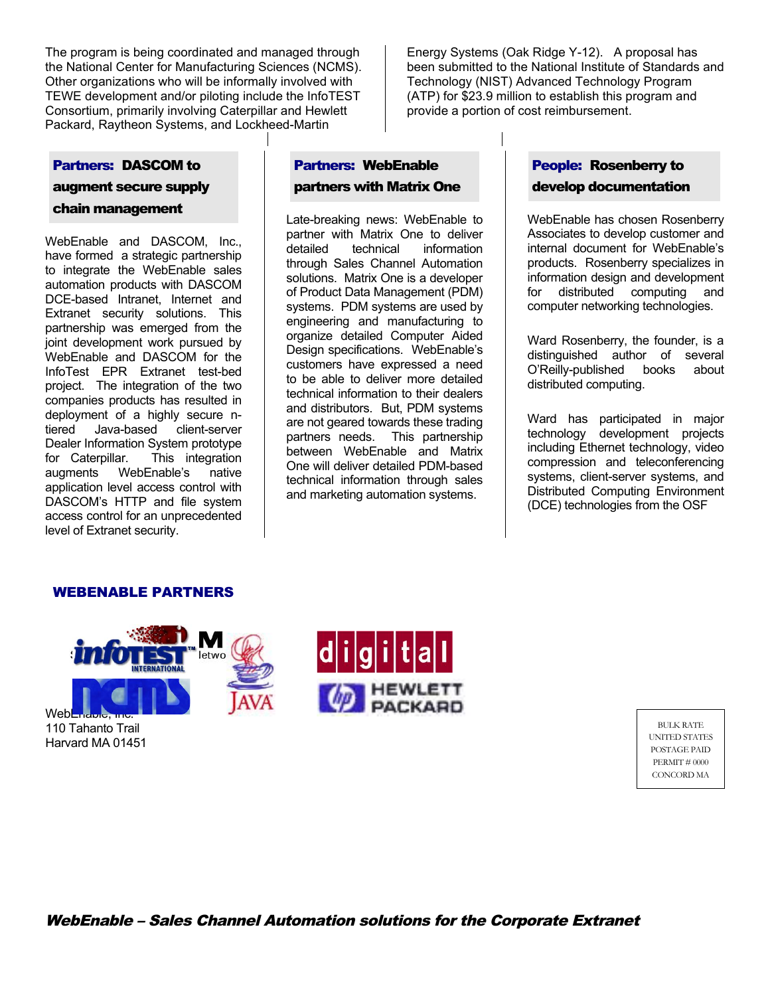The program is being coordinated and managed through the National Center for Manufacturing Sciences (NCMS). Other organizations who will be informally involved with TEWE development and/or piloting include the InfoTEST Consortium, primarily involving Caterpillar and Hewlett Packard, Raytheon Systems, and Lockheed-Martin

Energy Systems (Oak Ridge Y-12). A proposal has been submitted to the National Institute of Standards and Technology (NIST) Advanced Technology Program (ATP) for \$23.9 million to establish this program and provide a portion of cost reimbursement.

#### Partners: DASCOM to

augment secure supply chain management

WebEnable and DASCOM, Inc., have formed a strategic partnership to integrate the WebEnable sales automation products with DASCOM DCE-based Intranet, Internet and Extranet security solutions. This partnership was emerged from the joint development work pursued by WebEnable and DASCOM for the InfoTest EPR Extranet test-bed project. The integration of the two companies products has resulted in deployment of a highly secure ntiered Java-based client-server Dealer Information System prototype for Caterpillar. This integration augments WebEnable's native application level access control with DASCOM's HTTP and file system access control for an unprecedented level of Extranet security.

# Partners: WebEnable partners with Matrix One

Late-breaking news: WebEnable to partner with Matrix One to deliver detailed technical information through Sales Channel Automation solutions. Matrix One is a developer of Product Data Management (PDM) systems. PDM systems are used by engineering and manufacturing to organize detailed Computer Aided Design specifications. WebEnable's customers have expressed a need to be able to deliver more detailed technical information to their dealers and distributors. But, PDM systems are not geared towards these trading partners needs. This partnership between WebEnable and Matrix One will deliver detailed PDM-based technical information through sales and marketing automation systems.

# People: Rosenberry to develop documentation

WebEnable has chosen Rosenberry Associates to develop customer and internal document for WebEnable's products. Rosenberry specializes in information design and development for distributed computing and computer networking technologies.

Ward Rosenberry, the founder, is a distinguished author of several O'Reilly-published books about distributed computing.

Ward has participated in major technology development projects including Ethernet technology, video compression and teleconferencing systems, client-server systems, and Distributed Computing Environment (DCE) technologies from the OSF

### WEBENABLE PARTNERS



110 Tahanto Trail Harvard MA 01451



BULK RATE UNITED STATES POSTAGE PAID PERMIT # 0000 CONCORD MA